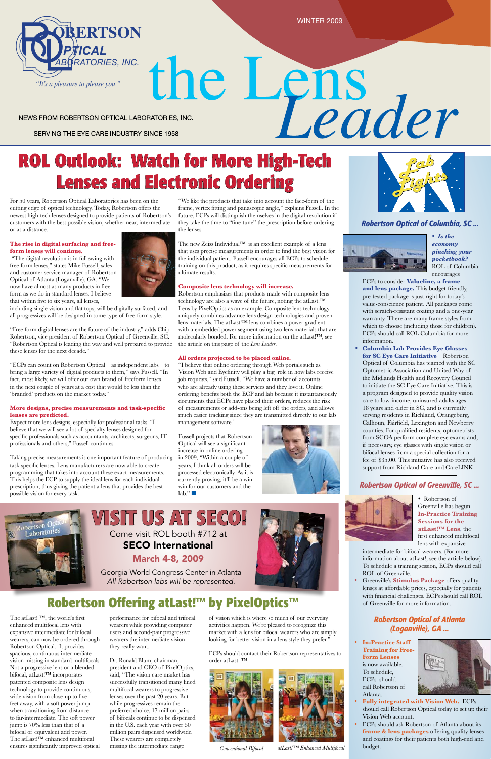For 50 years, Robertson Optical Laboratories has been on the cutting edge of optical technology. Today, Robertson offers the newest high-tech lenses designed to provide patients of Robertson's customers with the best possible vision, whether near, intermediate or at a distance.

#### **The rise in digital surfacing and freeform lenses will continue.**

 "The digital revolution is in full swing with free-form lenses," states Mike Fussell, sales and customer service manager of Robertson Optical of Atlanta (Loganville), GA. "We now have almost as many products in freeform as we do in standard lenses. I believe that within five to six years, all lenses,

including single vision and flat tops, will be digitally surfaced, and all progressives will be designed in some type of free-form style.

"Free-form digital lenses are the future of the industry," adds Chip Robertson, vice president of Robertson Optical of Greenville, SC. "Robertson Optical is leading the way and well prepared to provide these lenses for the next decade."

"ECPs can count on Robertson Optical – as independent labs – to bring a large variety of digital products to them," says Fussell. "In fact, most likely, we will offer our own brand of freeform lenses in the next couple of years at a cost that would be less than the 'branded' products on the market today."

The new Zeiss Individual™ is an excellent example of a lens that uses precise measurements in order to find the best vision for the individual patient. Fussell encourages all ECPs to schedule training on this product, as it requires specific measurements for **Zeiss** ultimate results.

#### **Composite lens technology will increase. Composite I**

#### **More designs, precise measurements and task-specific lenses are predicted.**

Expect more lens designs, especially for professional tasks. "I believe that we will see a lot of specialty lenses designed for specific professionals such as accountants, architects, surgeons, IT professionals and others," Fussell continues.

Taking precise measurements is one important feature of producing task-specific lenses. Lens manufacturers are now able to create programming that takes into account these exact measurements. This helps the ECP to supply the ideal lens for each individual prescription, thus giving the patient a lens that provides the best possible vision for every task.

Fussell projects that Robertson Optical will see a significant increase in online ordering in 2009, "Within a couple of years, I think all orders will be processed electronically. As it is currently proving, it'll be a winwin for our customers and the  $lab." \blacksquare$ 



WINTER 2009

SERVING THE EYE CARE INDUSTRY SINCE 1958

# **Lenses and Electronic Ordering**



# NEWS TROW ROBERTSON OPTICAL LABORATORIES, INC.<br>
SERVING THE EYE CARE INDUSTRY SINCE 1958<br>
ROL Outlook: Watch for More High-Tech **Rol** NEWS FROM ROBERTSON OPTICAL LABORATORIES, INC.

# *Robertson Optical of Columbia, SC ...*



"We like the products that take into account the face-form of the frame, vertex fitting and panascopic angle," explains Fussell. In the future, ECPs will distinguish themselves in the digital revolution if they take the time to "fine-tune" the prescription before ordering the lenses.

Robertson emphasizes that products made with composite lens technology are also a wave of the future, noting the atLast!™ and Lens by PixelOptics as an example. Composite lens technology uniquely combines advance lens design technologies and proven lens materials. The atLast!™ lens combines a power gradient with a embedded power segment using two lens materials that are molecularly bonded. For more information on the atLast!™, see the article on this page of the *Lens Leader*.

## **All orders projected to be placed online.**

"I believe that online ordering through Web portals such as Vision Web and Eyefinity will play a big role in how labs receive job requests," said Fussell. "We have a number of accounts who are already using these services and they love it. Online ordering benefits both the ECP and lab because it instantaneously documents that ECPs have placed their orders, reduces the risk of measurements or add-ons being left off the orders, and allows much easier tracking since they are transmitted directly to our lab management software."

Come visit ROL booth #712 at SECO International

# March 4-8, 2009

Georgia World Congress Center in Atlanta *All Robertson labs will be represented.*



• *Is the economy pinching your pocketbook?*  ROL of Columbia encourages

ECPs to consider **Valueline, a frame and lens package.** This budget-friendly, pre-tested package is just right for today's value-conscience patient. All packages come with scratch-resistant coating and a one-year warranty. There are many frame styles from which to choose (including those for children). ECPs should call ROL Columbia for more information.

• **Columbia Lab Provides Eye Glasses for SC Eye Care Initiative** – Robertson Optical of Columbia has teamed with the SC Optometric Association and United Way of the Midlands Health and Recovery Council to initiate the SC Eye Care Initiative. This is a program designed to provide quality vision care to low-income, uninsured adults ages 18 years and older in SC, and is currently serving residents in Richland, Orangeburg, Calhoun, Fairfield, Lexington and Newberry counties. For qualified residents, optometrists from SCOA perform complete eye exams and, if necessary, eye glasses with single vision or bifocal lenses from a special collection for a fee of \$35.00. This initiative has also received support from Richland Care and CareLINK.

• **In-Practice Staff Training for Free-Form Lenses**  is now available. To schedule, ECPs should call Robertson of Atlanta.



- **Fully integrated with Vision Web.** ECPs should call Robertson Optical today to set up their Vision Web account.
- ECPs should ask Robertson of Atlanta about its **frame & lens packages** offering quality lenses and coatings for their patients both high-end and budget.

# *Robertson Optical of Greenville, SC ...*



• Robertson of Greenville has begun **In-Practice Training Sessions for the atLast!™ Lens**, the first enhanced multifocal lens with expansive

intermediate for bifocal wearers. (For more



- information about atLast!, see the article below). To schedule a training session, ECPs should call ROL of Greenville.
- Greenville's **Stimulus Package** offers quality lenses at affordable prices, especially for patients with financial challenges. ECPs should call ROL of Greenville for more information.

## *Robertson Optical of Atlanta (Loganville), GA ...*

performance for bifocal and trifocal wearers while providing computer users and second-pair progressive wearers the intermediate vision they really want.

Dr. Ronald Blum, chairman, president and CEO of PixelOptics, said, "The vision care market has successfully transitioned many lined multifocal wearers to progressive lenses over the past 20 years. But while progressives remain the preferred choice, 17 million pairs of bifocals continue to be dispensed in the U.S. each year with over 50 million pairs dispensed worldwide. These wearers are completely missing the intermediate range

# **Robertson Offering atLast!™ by PixelOptics™**

The atLast! ™, the world's first enhanced multifocal lens with expansive intermediate for bifocal wearers, can now be ordered through Robertson Optical. It provides spacious, continuous intermediate vision missing in standard multifocals. Not a progressive lens or a blended bifocal, atLast!™ incorporates patented composite lens design technology to provide continuous, wide vision from close-up to five feet away, with a soft power jump when transitioning from distance to far-intermediate. The soft power jump is 70% less than that of a bifocal of equivalent add power. The atLast!™ enhanced multifocal ensures significantly improved optical

*Conventional Bifocal atLast!™ Enhanced Multifocal*



of vision which is where so much of our everyday activities happen. We're pleased to recognize this market with a lens for bifocal wearers who are simply looking for better vision in a lens style they prefer."

ECPs should contact their Robertson representatives to order atLast! ™









obertson  $O$ Laboratories